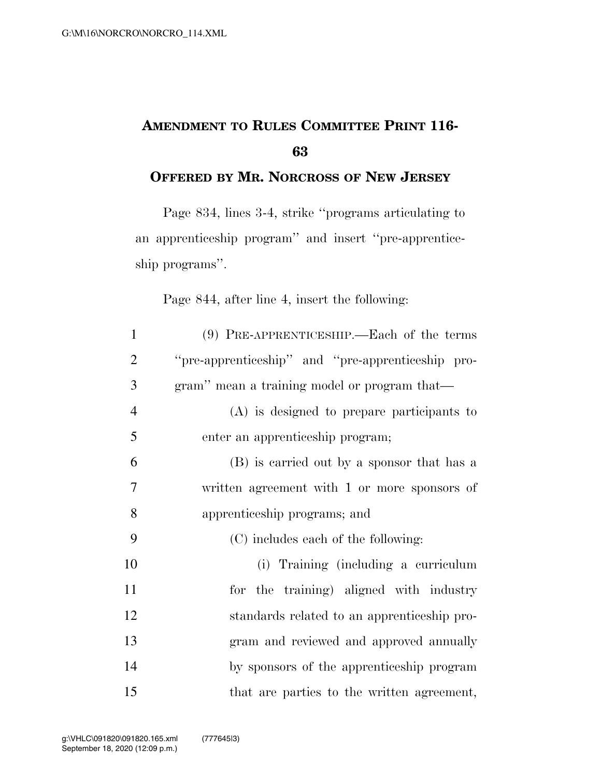## **AMENDMENT TO RULES COMMITTEE PRINT 116-**

## **OFFERED BY MR. NORCROSS OF NEW JERSEY**

Page 834, lines 3-4, strike ''programs articulating to an apprenticeship program'' and insert ''pre-apprenticeship programs''.

Page 844, after line 4, insert the following:

| $\mathbf{1}$   | $(9)$ PRE-APPRENTICESHIP.—Each of the terms       |
|----------------|---------------------------------------------------|
| $\overline{2}$ | "pre-apprenticeship" and "pre-apprenticeship pro- |
| 3              | gram" mean a training model or program that—      |
| $\overline{4}$ | (A) is designed to prepare participants to        |
| 5              | enter an apprenticeship program;                  |
| 6              | (B) is carried out by a sponsor that has a        |
| 7              | written agreement with 1 or more sponsors of      |
| 8              | apprenticeship programs; and                      |
| 9              | (C) includes each of the following:               |
| 10             | (i) Training (including a curriculum              |
| 11             | for the training) aligned with industry           |
| 12             | standards related to an apprenticeship pro-       |
| 13             | gram and reviewed and approved annually           |
| 14             | by sponsors of the apprenticeship program         |
| 15             | that are parties to the written agreement,        |